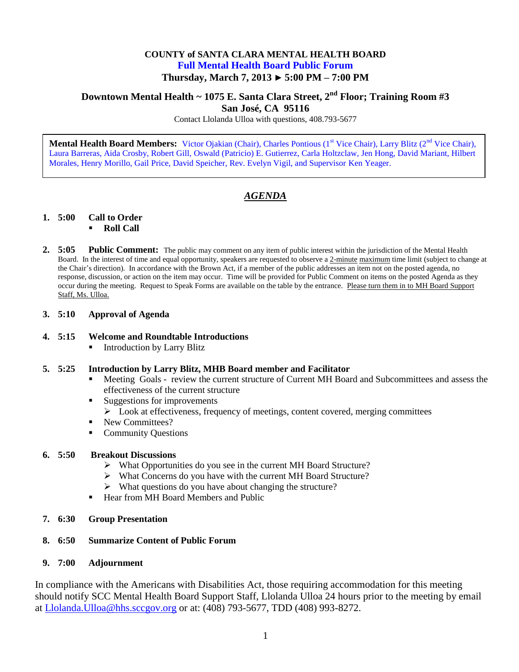### **COUNTY of SANTA CLARA MENTAL HEALTH BOARD Full Mental Health Board Public Forum Thursday, March 7, 2013 ► 5:00 PM – 7:00 PM**

# **Downtown Mental Health ~ 1075 E. Santa Clara Street, 2nd Floor; Training Room #3**

**San José, CA 95116**

Contact Llolanda Ulloa with questions, 408.793-5677

**Mental Health Board Members:** Victor Ojakian (Chair), Charles Pontious (1<sup>st</sup> Vice Chair), Larry Blitz (2<sup>nd</sup> Vice Chair), Laura Barreras, Aida Crosby, Robert Gill, Oswald (Patricio) E. Gutierrez, Carla Holtzclaw, Jen Hong, David Mariant, Hilbert Morales, Henry Morillo, Gail Price, David Speicher, Rev. Evelyn Vigil, and Supervisor Ken Yeager.

## *AGENDA*

#### **1. 5:00 Call to Order**

- **Roll Call**
- **2. 5:05 Public Comment:** The public may comment on any item of public interest within the jurisdiction of the Mental Health Board. In the interest of time and equal opportunity, speakers are requested to observe a 2-minute maximum time limit (subject to change at the Chair's direction). In accordance with the Brown Act, if a member of the public addresses an item not on the posted agenda, no response, discussion, or action on the item may occur. Time will be provided for Public Comment on items on the posted Agenda as they occur during the meeting. Request to Speak Forms are available on the table by the entrance. Please turn them in to MH Board Support Staff, Ms. Ulloa.

#### **3. 5:10 Approval of Agenda**

#### **4. 5:15 Welcome and Roundtable Introductions**

Introduction by Larry Blitz

#### **5. 5:25 Introduction by Larry Blitz, MHB Board member and Facilitator**

- Meeting Goals review the current structure of Current MH Board and Subcommittees and assess the effectiveness of the current structure
- Suggestions for improvements
	- $\triangleright$  Look at effectiveness, frequency of meetings, content covered, merging committees
- New Committees?
- Community Questions

#### **6. 5:50 Breakout Discussions**

- What Opportunities do you see in the current MH Board Structure?
- What Concerns do you have with the current MH Board Structure?
- $\triangleright$  What questions do you have about changing the structure?
- Hear from MH Board Members and Public

#### **7. 6:30 Group Presentation**

#### **8. 6:50 Summarize Content of Public Forum**

#### **9. 7:00 Adjournment**

In compliance with the Americans with Disabilities Act, those requiring accommodation for this meeting should notify SCC Mental Health Board Support Staff, Llolanda Ulloa 24 hours prior to the meeting by email at [Llolanda.Ulloa@hhs.sccgov.org](mailto:Llolanda.Ulloa@hhs.sccgov.org) or at: (408) 793-5677, TDD (408) 993-8272.